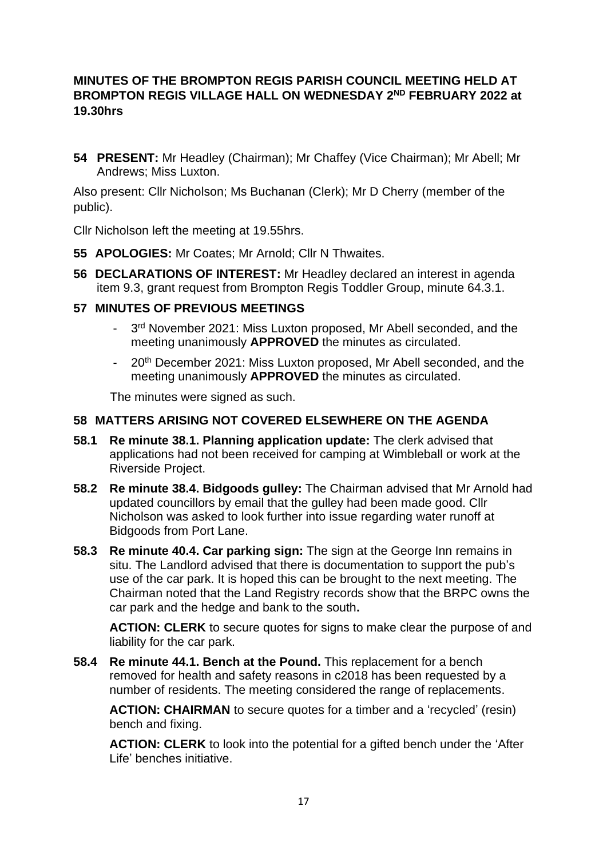# **MINUTES OF THE BROMPTON REGIS PARISH COUNCIL MEETING HELD AT BROMPTON REGIS VILLAGE HALL ON WEDNESDAY 2ND FEBRUARY 2022 at 19.30hrs**

**54 PRESENT:** Mr Headley (Chairman); Mr Chaffey (Vice Chairman); Mr Abell; Mr Andrews; Miss Luxton.

Also present: Cllr Nicholson; Ms Buchanan (Clerk); Mr D Cherry (member of the public).

Cllr Nicholson left the meeting at 19.55hrs.

- **55 APOLOGIES:** Mr Coates; Mr Arnold; Cllr N Thwaites.
- **56 DECLARATIONS OF INTEREST:** Mr Headley declared an interest in agenda item 9.3, grant request from Brompton Regis Toddler Group, minute 64.3.1.

## **57 MINUTES OF PREVIOUS MEETINGS**

- 3<sup>rd</sup> November 2021: Miss Luxton proposed, Mr Abell seconded, and the meeting unanimously **APPROVED** the minutes as circulated.
- 20<sup>th</sup> December 2021: Miss Luxton proposed, Mr Abell seconded, and the meeting unanimously **APPROVED** the minutes as circulated.

The minutes were signed as such.

#### **58 MATTERS ARISING NOT COVERED ELSEWHERE ON THE AGENDA**

- **58.1 Re minute 38.1. Planning application update:** The clerk advised that applications had not been received for camping at Wimbleball or work at the Riverside Project.
- **58.2 Re minute 38.4. Bidgoods gulley:** The Chairman advised that Mr Arnold had updated councillors by email that the gulley had been made good. Cllr Nicholson was asked to look further into issue regarding water runoff at Bidgoods from Port Lane.
- **58.3 Re minute 40.4. Car parking sign:** The sign at the George Inn remains in situ. The Landlord advised that there is documentation to support the pub's use of the car park. It is hoped this can be brought to the next meeting. The Chairman noted that the Land Registry records show that the BRPC owns the car park and the hedge and bank to the south**.**

**ACTION: CLERK** to secure quotes for signs to make clear the purpose of and liability for the car park.

**58.4 Re minute 44.1. Bench at the Pound.** This replacement for a bench removed for health and safety reasons in c2018 has been requested by a number of residents. The meeting considered the range of replacements.

**ACTION: CHAIRMAN** to secure quotes for a timber and a 'recycled' (resin) bench and fixing.

**ACTION: CLERK** to look into the potential for a gifted bench under the 'After Life' benches initiative.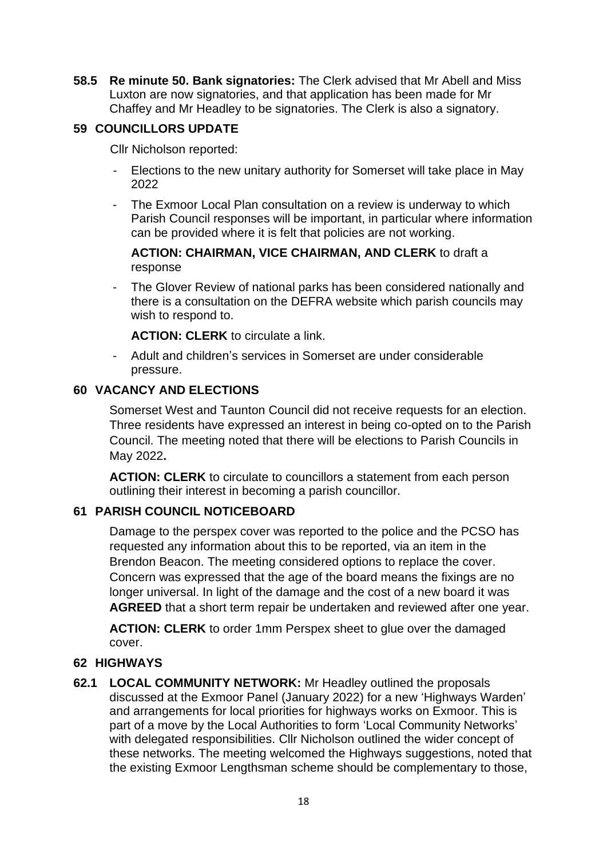**58.5 Re minute 50. Bank signatories:** The Clerk advised that Mr Abell and Miss Luxton are now signatories, and that application has been made for Mr Chaffey and Mr Headley to be signatories. The Clerk is also a signatory.

# **59 COUNCILLORS UPDATE**

Cllr Nicholson reported:

- Elections to the new unitary authority for Somerset will take place in May 2022
- The Exmoor Local Plan consultation on a review is underway to which Parish Council responses will be important, in particular where information can be provided where it is felt that policies are not working.

**ACTION: CHAIRMAN, VICE CHAIRMAN, AND CLERK** to draft a response

- The Glover Review of national parks has been considered nationally and there is a consultation on the DEFRA website which parish councils may wish to respond to.

**ACTION: CLERK** to circulate a link.

- Adult and children's services in Somerset are under considerable pressure.

# **60 VACANCY AND ELECTIONS**

Somerset West and Taunton Council did not receive requests for an election. Three residents have expressed an interest in being co-opted on to the Parish Council. The meeting noted that there will be elections to Parish Councils in May 2022**.** 

**ACTION: CLERK** to circulate to councillors a statement from each person outlining their interest in becoming a parish councillor.

# **61 PARISH COUNCIL NOTICEBOARD**

Damage to the perspex cover was reported to the police and the PCSO has requested any information about this to be reported, via an item in the Brendon Beacon. The meeting considered options to replace the cover. Concern was expressed that the age of the board means the fixings are no longer universal. In light of the damage and the cost of a new board it was **AGREED** that a short term repair be undertaken and reviewed after one year.

**ACTION: CLERK** to order 1mm Perspex sheet to glue over the damaged cover.

# **62 HIGHWAYS**

**62.1 LOCAL COMMUNITY NETWORK:** Mr Headley outlined the proposals discussed at the Exmoor Panel (January 2022) for a new 'Highways Warden' and arrangements for local priorities for highways works on Exmoor. This is part of a move by the Local Authorities to form 'Local Community Networks' with delegated responsibilities. Cllr Nicholson outlined the wider concept of these networks. The meeting welcomed the Highways suggestions, noted that the existing Exmoor Lengthsman scheme should be complementary to those,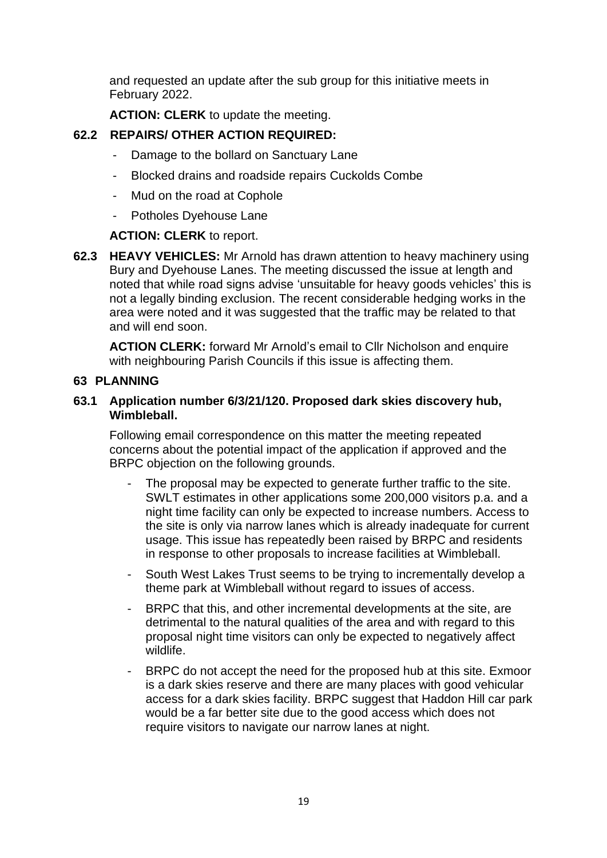and requested an update after the sub group for this initiative meets in February 2022.

**ACTION: CLERK** to update the meeting.

# **62.2 REPAIRS/ OTHER ACTION REQUIRED:**

- Damage to the bollard on Sanctuary Lane
- Blocked drains and roadside repairs Cuckolds Combe
- Mud on the road at Cophole
- Potholes Dyehouse Lane

**ACTION: CLERK** to report.

**62.3 HEAVY VEHICLES:** Mr Arnold has drawn attention to heavy machinery using Bury and Dyehouse Lanes. The meeting discussed the issue at length and noted that while road signs advise 'unsuitable for heavy goods vehicles' this is not a legally binding exclusion. The recent considerable hedging works in the area were noted and it was suggested that the traffic may be related to that and will end soon.

**ACTION CLERK:** forward Mr Arnold's email to Cllr Nicholson and enquire with neighbouring Parish Councils if this issue is affecting them.

## **63 PLANNING**

#### **63.1 Application number 6/3/21/120. Proposed dark skies discovery hub, Wimbleball.**

Following email correspondence on this matter the meeting repeated concerns about the potential impact of the application if approved and the BRPC objection on the following grounds.

- The proposal may be expected to generate further traffic to the site. SWLT estimates in other applications some 200,000 visitors p.a. and a night time facility can only be expected to increase numbers. Access to the site is only via narrow lanes which is already inadequate for current usage. This issue has repeatedly been raised by BRPC and residents in response to other proposals to increase facilities at Wimbleball.
- South West Lakes Trust seems to be trying to incrementally develop a theme park at Wimbleball without regard to issues of access.
- BRPC that this, and other incremental developments at the site, are detrimental to the natural qualities of the area and with regard to this proposal night time visitors can only be expected to negatively affect wildlife.
- BRPC do not accept the need for the proposed hub at this site. Exmoor is a dark skies reserve and there are many places with good vehicular access for a dark skies facility. BRPC suggest that Haddon Hill car park would be a far better site due to the good access which does not require visitors to navigate our narrow lanes at night.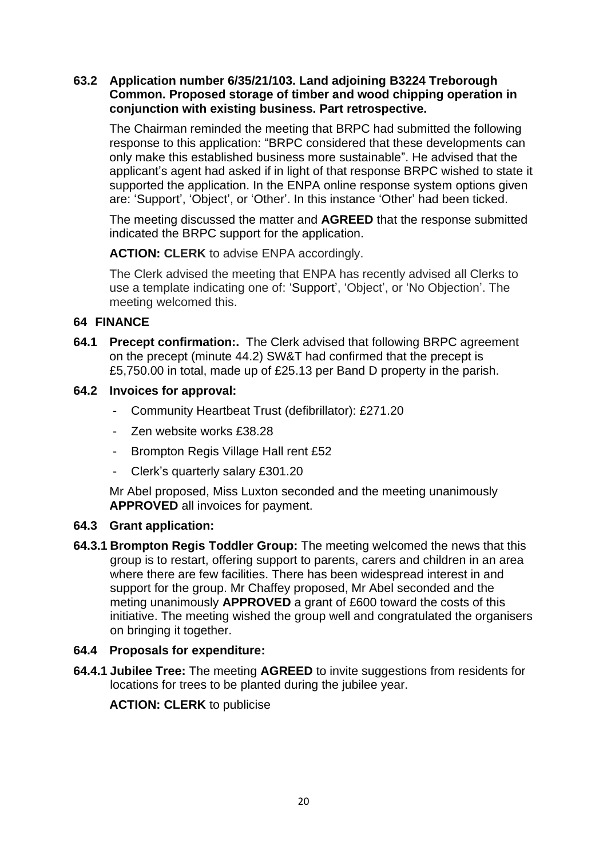## **63.2 Application number 6/35/21/103. Land adjoining B3224 Treborough Common. Proposed storage of timber and wood chipping operation in conjunction with existing business. Part retrospective.**

The Chairman reminded the meeting that BRPC had submitted the following response to this application: "BRPC considered that these developments can only make this established business more sustainable". He advised that the applicant's agent had asked if in light of that response BRPC wished to state it supported the application. In the ENPA online response system options given are: 'Support', 'Object', or 'Other'. In this instance 'Other' had been ticked.

The meeting discussed the matter and **AGREED** that the response submitted indicated the BRPC support for the application.

**ACTION: CLERK** to advise ENPA accordingly.

The Clerk advised the meeting that ENPA has recently advised all Clerks to use a template indicating one of: 'Support', 'Object', or 'No Objection'. The meeting welcomed this.

## **64 FINANCE**

- **64.1 Precept confirmation:.** The Clerk advised that following BRPC agreement on the precept (minute 44.2) SW&T had confirmed that the precept is £5,750.00 in total, made up of £25.13 per Band D property in the parish.
- **64.2 Invoices for approval:** 
	- Community Heartbeat Trust (defibrillator): £271.20
	- Zen website works £38.28
	- Brompton Regis Village Hall rent £52
	- Clerk's quarterly salary £301.20

Mr Abel proposed, Miss Luxton seconded and the meeting unanimously **APPROVED** all invoices for payment.

#### **64.3 Grant application:**

**64.3.1 Brompton Regis Toddler Group:** The meeting welcomed the news that this group is to restart, offering support to parents, carers and children in an area where there are few facilities. There has been widespread interest in and support for the group. Mr Chaffey proposed, Mr Abel seconded and the meting unanimously **APPROVED** a grant of £600 toward the costs of this initiative. The meeting wished the group well and congratulated the organisers on bringing it together.

#### **64.4 Proposals for expenditure:**

**64.4.1 Jubilee Tree:** The meeting **AGREED** to invite suggestions from residents for locations for trees to be planted during the jubilee year.

**ACTION: CLERK** to publicise